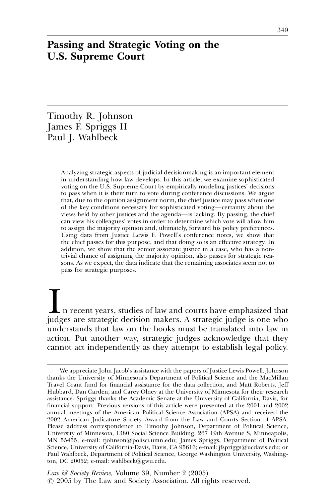# Passing and Strategic Voting on the U.S. Supreme Court

Timothy R. Johnson James F. Spriggs II Paul J. Wahlbeck

> Analyzing strategic aspects of judicial decisionmaking is an important element in understanding how law develops. In this article, we examine sophisticated voting on the U.S. Supreme Court by empirically modeling justices' decisions to pass when it is their turn to vote during conference discussions. We argue that, due to the opinion assignment norm, the chief justice may pass when one of the key conditions necessary for sophisticated voting-certainty about the views held by other justices and the agenda—is lacking. By passing, the chief can view his colleagues' votes in order to determine which vote will allow him to assign the majority opinion and, ultimately, forward his policy preferences. Using data from Justice Lewis F. Powell's conference notes, we show that the chief passes for this purpose, and that doing so is an effective strategy. In addition, we show that the senior associate justice in a case, who has a nontrivial chance of assigning the majority opinion, also passes for strategic reasons. As we expect, the data indicate that the remaining associates seem not to pass for strategic purposes.

 $\mathsf L$  n recent years, studies of law and courts have emphasized that judges are strategic decision makers. A strategic judge is one who understands that law on the books must be translated into law in action. Put another way, strategic judges acknowledge that they cannot act independently as they attempt to establish legal policy.

We appreciate John Jacob's assistance with the papers of Justice Lewis Powell. Johnson thanks the University of Minnesota's Department of Political Science and the MacMillan Travel Grant fund for financial assistance for the data collection, and Matt Roberts, Jeff Hubbard, Dan Carden, and Carey Olney at the University of Minnesota for their research assistance. Spriggs thanks the Academic Senate at the University of California, Davis, for financial support. Previous versions of this article were presented at the 2001 and 2002 annual meetings of the American Political Science Association (APSA) and received the 2002 American Judicature Society Award from the Law and Courts Section of APSA. Please address correspondence to Timothy Johnson, Department of Political Science, University of Minnesota, 1380 Social Science Building, 267 19th Avenue S, Minneapolis, MN 55455; e-mail: tjohnson@polisci.umn.edu; James Spriggs, Department of Political Science, University of California-Davis, Davis, CA 95616; e-mail: jfspriggs@ucdavis.edu; or Paul Wahlbeck, Department of Political Science, George Washington University, Washington, DC 20052; e-mail: wahlbeck@gwu.edu.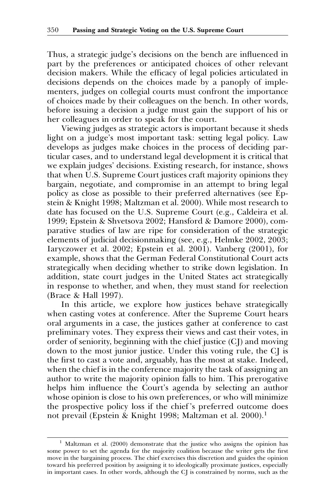Thus, a strategic judge's decisions on the bench are influenced in part by the preferences or anticipated choices of other relevant decision makers. While the efficacy of legal policies articulated in decisions depends on the choices made by a panoply of implementers, judges on collegial courts must confront the importance of choices made by their colleagues on the bench. In other words, before issuing a decision a judge must gain the support of his or her colleagues in order to speak for the court.

Viewing judges as strategic actors is important because it sheds light on a judge's most important task: setting legal policy. Law develops as judges make choices in the process of deciding particular cases, and to understand legal development it is critical that we explain judges' decisions. Existing research, for instance, shows that when U.S. Supreme Court justices craft majority opinions they bargain, negotiate, and compromise in an attempt to bring legal policy as close as possible to their preferred alternatives (see Epstein & Knight 1998; Maltzman et al. 2000). While most research to date has focused on the U.S. Supreme Court (e.g., Caldeira et al. 1999; Epstein & Shvetsova 2002; Hansford & Damore 2000), comparative studies of law are ripe for consideration of the strategic elements of judicial decisionmaking (see, e.g., Helmke 2002, 2003; Iaryczower et al. 2002; Epstein et al. 2001). Vanberg (2001), for example, shows that the German Federal Constitutional Court acts strategically when deciding whether to strike down legislation. In addition, state court judges in the United States act strategically in response to whether, and when, they must stand for reelection (Brace & Hall 1997).

In this article, we explore how justices behave strategically when casting votes at conference. After the Supreme Court hears oral arguments in a case, the justices gather at conference to cast preliminary votes. They express their views and cast their votes, in order of seniority, beginning with the chief justice (CJ) and moving down to the most junior justice. Under this voting rule, the CJ is the first to cast a vote and, arguably, has the most at stake. Indeed, when the chief is in the conference majority the task of assigning an author to write the majority opinion falls to him. This prerogative helps him influence the Court's agenda by selecting an author whose opinion is close to his own preferences, or who will minimize the prospective policy loss if the chief 's preferred outcome does not prevail (Epstein & Knight 1998; Maltzman et al. 2000).<sup>1</sup>

<sup>&</sup>lt;sup>1</sup> Maltzman et al. (2000) demonstrate that the justice who assigns the opinion has some power to set the agenda for the majority coalition because the writer gets the first move in the bargaining process. The chief exercises this discretion and guides the opinion toward his preferred position by assigning it to ideologically proximate justices, especially in important cases. In other words, although the CJ is constrained by norms, such as the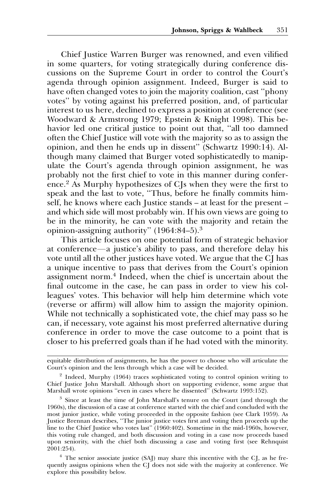Chief Justice Warren Burger was renowned, and even vilified in some quarters, for voting strategically during conference discussions on the Supreme Court in order to control the Court's agenda through opinion assignment. Indeed, Burger is said to have often changed votes to join the majority coalition, cast ''phony votes'' by voting against his preferred position, and, of particular interest to us here, declined to express a position at conference (see Woodward & Armstrong 1979; Epstein & Knight 1998). This behavior led one critical justice to point out that, ''all too damned often the Chief Justice will vote with the majority so as to assign the opinion, and then he ends up in dissent'' (Schwartz 1990:14). Although many claimed that Burger voted sophisticatedly to manipulate the Court's agenda through opinion assignment, he was probably not the first chief to vote in this manner during conference.2 As Murphy hypothesizes of CJs when they were the first to speak and the last to vote, ''Thus, before he finally commits himself, he knows where each Justice stands – at least for the present – and which side will most probably win. If his own views are going to be in the minority, he can vote with the majority and retain the opinion-assigning authority'' (1964:84–5).3

This article focuses on one potential form of strategic behavior at conference-a justice's ability to pass, and therefore delay his vote until all the other justices have voted. We argue that the CJ has a unique incentive to pass that derives from the Court's opinion assignment norm.4 Indeed, when the chief is uncertain about the final outcome in the case, he can pass in order to view his colleagues' votes. This behavior will help him determine which vote (reverse or affirm) will allow him to assign the majority opinion. While not technically a sophisticated vote, the chief may pass so he can, if necessary, vote against his most preferred alternative during conference in order to move the case outcome to a point that is closer to his preferred goals than if he had voted with the minority.

<sup>4</sup> The senior associate justice (SAJ) may share this incentive with the CJ, as he frequently assigns opinions when the CJ does not side with the majority at conference. We explore this possibility below.

equitable distribution of assignments, he has the power to choose who will articulate the Court's opinion and the lens through which a case will be decided.

<sup>&</sup>lt;sup>2</sup> Indeed, Murphy (1964) traces sophisticated voting to control opinion writing to Chief Justice John Marshall. Although short on supporting evidence, some argue that Marshall wrote opinions ''even in cases where he dissented'' (Schwartz 1993:152).

<sup>3</sup> Since at least the time of John Marshall's tenure on the Court (and through the 1960s), the discussion of a case at conference started with the chief and concluded with the most junior justice, while voting proceeded in the opposite fashion (see Clark 1959). As Justice Brennan describes, ''The junior justice votes first and voting then proceeds up the line to the Chief Justice who votes last'' (1960:402). Sometime in the mid-1960s, however, this voting rule changed, and both discussion and voting in a case now proceeds based upon seniority, with the chief both discussing a case and voting first (see Rehnquist 2001:254).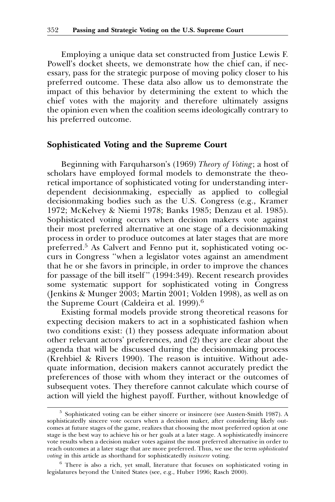Employing a unique data set constructed from Justice Lewis F. Powell's docket sheets, we demonstrate how the chief can, if necessary, pass for the strategic purpose of moving policy closer to his preferred outcome. These data also allow us to demonstrate the impact of this behavior by determining the extent to which the chief votes with the majority and therefore ultimately assigns the opinion even when the coalition seems ideologically contrary to his preferred outcome.

## Sophisticated Voting and the Supreme Court

Beginning with Farquharson's (1969) Theory of Voting; a host of scholars have employed formal models to demonstrate the theoretical importance of sophisticated voting for understanding interdependent decisionmaking, especially as applied to collegial decisionmaking bodies such as the U.S. Congress (e.g., Kramer 1972; McKelvey & Niemi 1978; Banks 1985; Denzau et al. 1985). Sophisticated voting occurs when decision makers vote against their most preferred alternative at one stage of a decisionmaking process in order to produce outcomes at later stages that are more preferred.5 As Calvert and Fenno put it, sophisticated voting occurs in Congress ''when a legislator votes against an amendment that he or she favors in principle, in order to improve the chances for passage of the bill itself '' (1994:349). Recent research provides some systematic support for sophisticated voting in Congress (Jenkins & Munger 2003; Martin 2001; Volden 1998), as well as on the Supreme Court (Caldeira et al. 1999).6

Existing formal models provide strong theoretical reasons for expecting decision makers to act in a sophisticated fashion when two conditions exist: (1) they possess adequate information about other relevant actors' preferences, and (2) they are clear about the agenda that will be discussed during the decisionmaking process (Krehbiel & Rivers 1990). The reason is intuitive. Without adequate information, decision makers cannot accurately predict the preferences of those with whom they interact or the outcomes of subsequent votes. They therefore cannot calculate which course of action will yield the highest payoff. Further, without knowledge of

<sup>5</sup> Sophisticated voting can be either sincere or insincere (see Austen-Smith 1987). A sophisticatedly sincere vote occurs when a decision maker, after considering likely outcomes at future stages of the game, realizes that choosing the most preferred option at one stage is the best way to achieve his or her goals at a later stage. A sophisticatedly insincere vote results when a decision maker votes against the most preferred alternative in order to reach outcomes at a later stage that are more preferred. Thus, we use the term sophisticated voting in this article as shorthand for sophisticatedly insincere voting.

 $6$  There is also a rich, yet small, literature that focuses on sophisticated voting in legislatures beyond the United States (see, e.g., Huber 1996; Rasch 2000).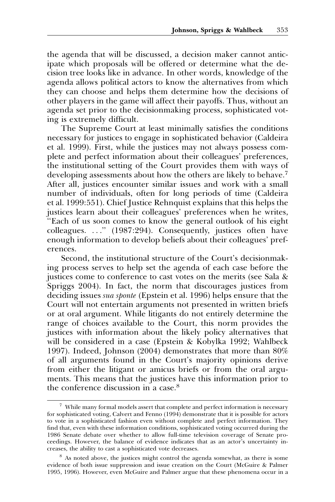the agenda that will be discussed, a decision maker cannot anticipate which proposals will be offered or determine what the decision tree looks like in advance. In other words, knowledge of the agenda allows political actors to know the alternatives from which they can choose and helps them determine how the decisions of other players in the game will affect their payoffs. Thus, without an agenda set prior to the decisionmaking process, sophisticated voting is extremely difficult.

The Supreme Court at least minimally satisfies the conditions necessary for justices to engage in sophisticated behavior (Caldeira et al. 1999). First, while the justices may not always possess complete and perfect information about their colleagues' preferences, the institutional setting of the Court provides them with ways of developing assessments about how the others are likely to behave.<sup>7</sup> After all, justices encounter similar issues and work with a small number of individuals, often for long periods of time (Caldeira et al. 1999:551). Chief Justice Rehnquist explains that this helps the justices learn about their colleagues' preferences when he writes, ''Each of us soon comes to know the general outlook of his eight colleagues. . . .'' (1987:294). Consequently, justices often have enough information to develop beliefs about their colleagues' preferences.

Second, the institutional structure of the Court's decisionmaking process serves to help set the agenda of each case before the justices come to conference to cast votes on the merits (see Sala & Spriggs 2004). In fact, the norm that discourages justices from deciding issues sua sponte (Epstein et al. 1996) helps ensure that the Court will not entertain arguments not presented in written briefs or at oral argument. While litigants do not entirely determine the range of choices available to the Court, this norm provides the justices with information about the likely policy alternatives that will be considered in a case (Epstein & Kobylka 1992; Wahlbeck 1997). Indeed, Johnson (2004) demonstrates that more than 80% of all arguments found in the Court's majority opinions derive from either the litigant or amicus briefs or from the oral arguments. This means that the justices have this information prior to the conference discussion in a case.<sup>8</sup>

 $7$  While many formal models assert that complete and perfect information is necessary for sophisticated voting, Calvert and Fenno (1994) demonstrate that it is possible for actors to vote in a sophisticated fashion even without complete and perfect information. They find that, even with these information conditions, sophisticated voting occurred during the 1986 Senate debate over whether to allow full-time television coverage of Senate proceedings. However, the balance of evidence indicates that as an actor's uncertainty increases, the ability to cast a sophisticated vote decreases.

<sup>&</sup>lt;sup>8</sup> As noted above, the justices might control the agenda somewhat, as there is some evidence of both issue suppression and issue creation on the Court (McGuire & Palmer 1995, 1996). However, even McGuire and Palmer argue that these phenomena occur in a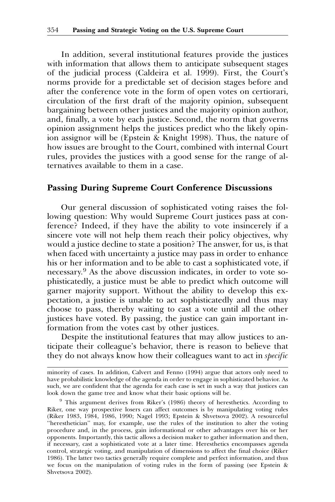In addition, several institutional features provide the justices with information that allows them to anticipate subsequent stages of the judicial process (Caldeira et al. 1999). First, the Court's norms provide for a predictable set of decision stages before and after the conference vote in the form of open votes on certiorari, circulation of the first draft of the majority opinion, subsequent bargaining between other justices and the majority opinion author, and, finally, a vote by each justice. Second, the norm that governs opinion assignment helps the justices predict who the likely opinion assignor will be (Epstein & Knight 1998). Thus, the nature of how issues are brought to the Court, combined with internal Court rules, provides the justices with a good sense for the range of alternatives available to them in a case.

## Passing During Supreme Court Conference Discussions

Our general discussion of sophisticated voting raises the following question: Why would Supreme Court justices pass at conference? Indeed, if they have the ability to vote insincerely if a sincere vote will not help them reach their policy objectives, why would a justice decline to state a position? The answer, for us, is that when faced with uncertainty a justice may pass in order to enhance his or her information and to be able to cast a sophisticated vote, if necessary.<sup>9</sup> As the above discussion indicates, in order to vote sophisticatedly, a justice must be able to predict which outcome will garner majority support. Without the ability to develop this expectation, a justice is unable to act sophisticatedly and thus may choose to pass, thereby waiting to cast a vote until all the other justices have voted. By passing, the justice can gain important information from the votes cast by other justices.

Despite the institutional features that may allow justices to anticipate their colleague's behavior, there is reason to believe that they do not always know how their colleagues want to act in *specific* 

minority of cases. In addition, Calvert and Fenno (1994) argue that actors only need to have probabilistic knowledge of the agenda in order to engage in sophisticated behavior. As such, we are confident that the agenda for each case is set in such a way that justices can look down the game tree and know what their basic options will be.

<sup>&</sup>lt;sup>9</sup> This argument derives from Riker's (1986) theory of heresthetics. According to Riker, one way prospective losers can affect outcomes is by manipulating voting rules (Riker 1983, 1984, 1986, 1990; Nagel 1993; Epstein & Shvetsova 2002). A resourceful ''heresthetician'' may, for example, use the rules of the institution to alter the voting procedure and, in the process, gain informational or other advantages over his or her opponents. Importantly, this tactic allows a decision maker to gather information and then, if necessary, cast a sophisticated vote at a later time. Heresthetics encompasses agenda control, strategic voting, and manipulation of dimensions to affect the final choice (Riker 1986). The latter two tactics generally require complete and perfect information, and thus we focus on the manipulation of voting rules in the form of passing (see Epstein & Shvetsova 2002).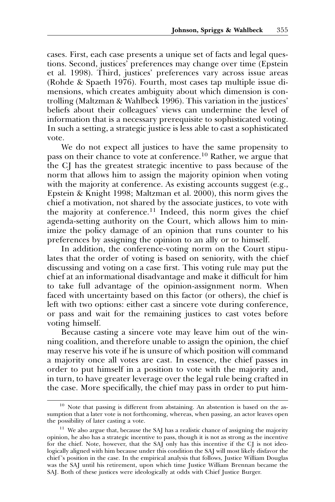cases. First, each case presents a unique set of facts and legal questions. Second, justices' preferences may change over time (Epstein et al. 1998). Third, justices' preferences vary across issue areas (Rohde & Spaeth 1976). Fourth, most cases tap multiple issue dimensions, which creates ambiguity about which dimension is controlling (Maltzman & Wahlbeck 1996). This variation in the justices' beliefs about their colleagues' views can undermine the level of information that is a necessary prerequisite to sophisticated voting. In such a setting, a strategic justice is less able to cast a sophisticated vote.

We do not expect all justices to have the same propensity to pass on their chance to vote at conference.10 Rather, we argue that the CJ has the greatest strategic incentive to pass because of the norm that allows him to assign the majority opinion when voting with the majority at conference. As existing accounts suggest (e.g., Epstein & Knight 1998; Maltzman et al. 2000), this norm gives the chief a motivation, not shared by the associate justices, to vote with the majority at conference.<sup>11</sup> Indeed, this norm gives the chief agenda-setting authority on the Court, which allows him to minimize the policy damage of an opinion that runs counter to his preferences by assigning the opinion to an ally or to himself.

In addition, the conference-voting norm on the Court stipulates that the order of voting is based on seniority, with the chief discussing and voting on a case first. This voting rule may put the chief at an informational disadvantage and make it difficult for him to take full advantage of the opinion-assignment norm. When faced with uncertainty based on this factor (or others), the chief is left with two options: either cast a sincere vote during conference, or pass and wait for the remaining justices to cast votes before voting himself.

Because casting a sincere vote may leave him out of the winning coalition, and therefore unable to assign the opinion, the chief may reserve his vote if he is unsure of which position will command a majority once all votes are cast. In essence, the chief passes in order to put himself in a position to vote with the majority and, in turn, to have greater leverage over the legal rule being crafted in the case. More specifically, the chief may pass in order to put him-

<sup>10</sup> Note that passing is different from abstaining. An abstention is based on the assumption that a later vote is not forthcoming, whereas, when passing, an actor leaves open the possibility of later casting a vote.

 $11$  We also argue that, because the SAJ has a realistic chance of assigning the majority opinion, he also has a strategic incentive to pass, though it is not as strong as the incentive for the chief. Note, however, that the SAJ only has this incentive if the CJ is not ideologically aligned with him because under this condition the SAJ will most likely disfavor the chief 's position in the case. In the empirical analysis that follows, Justice William Douglas was the SAJ until his retirement, upon which time Justice William Brennan became the SAJ. Both of these justices were ideologically at odds with Chief Justice Burger.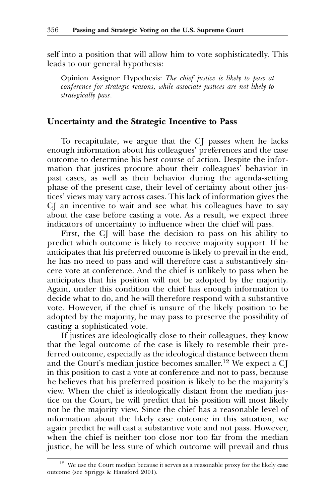self into a position that will allow him to vote sophisticatedly. This leads to our general hypothesis:

Opinion Assignor Hypothesis: The chief justice is likely to pass at conference for strategic reasons, while associate justices are not likely to strategically pass.

## Uncertainty and the Strategic Incentive to Pass

To recapitulate, we argue that the CJ passes when he lacks enough information about his colleagues' preferences and the case outcome to determine his best course of action. Despite the information that justices procure about their colleagues' behavior in past cases, as well as their behavior during the agenda-setting phase of the present case, their level of certainty about other justices' views may vary across cases. This lack of information gives the CJ an incentive to wait and see what his colleagues have to say about the case before casting a vote. As a result, we expect three indicators of uncertainty to influence when the chief will pass.

First, the CJ will base the decision to pass on his ability to predict which outcome is likely to receive majority support. If he anticipates that his preferred outcome is likely to prevail in the end, he has no need to pass and will therefore cast a substantively sincere vote at conference. And the chief is unlikely to pass when he anticipates that his position will not be adopted by the majority. Again, under this condition the chief has enough information to decide what to do, and he will therefore respond with a substantive vote. However, if the chief is unsure of the likely position to be adopted by the majority, he may pass to preserve the possibility of casting a sophisticated vote.

If justices are ideologically close to their colleagues, they know that the legal outcome of the case is likely to resemble their preferred outcome, especially as the ideological distance between them and the Court's median justice becomes smaller.<sup>12</sup> We expect a CJ in this position to cast a vote at conference and not to pass, because he believes that his preferred position is likely to be the majority's view. When the chief is ideologically distant from the median justice on the Court, he will predict that his position will most likely not be the majority view. Since the chief has a reasonable level of information about the likely case outcome in this situation, we again predict he will cast a substantive vote and not pass. However, when the chief is neither too close nor too far from the median justice, he will be less sure of which outcome will prevail and thus

<sup>&</sup>lt;sup>12</sup> We use the Court median because it serves as a reasonable proxy for the likely case outcome (see Spriggs & Hansford 2001).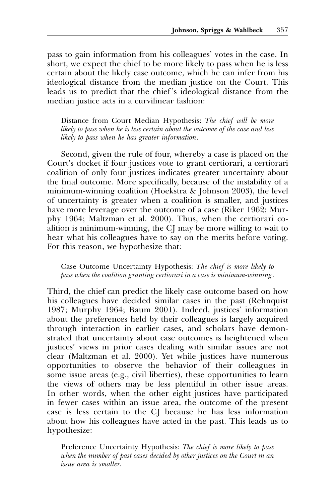pass to gain information from his colleagues' votes in the case. In short, we expect the chief to be more likely to pass when he is less certain about the likely case outcome, which he can infer from his ideological distance from the median justice on the Court. This leads us to predict that the chief 's ideological distance from the median justice acts in a curvilinear fashion:

Distance from Court Median Hypothesis: The chief will be more likely to pass when he is less certain about the outcome of the case and less likely to pass when he has greater information.

Second, given the rule of four, whereby a case is placed on the Court's docket if four justices vote to grant certiorari, a certiorari coalition of only four justices indicates greater uncertainty about the final outcome. More specifically, because of the instability of a minimum-winning coalition (Hoekstra & Johnson 2003), the level of uncertainty is greater when a coalition is smaller, and justices have more leverage over the outcome of a case (Riker 1962; Murphy 1964; Maltzman et al. 2000). Thus, when the certiorari coalition is minimum-winning, the CJ may be more willing to wait to hear what his colleagues have to say on the merits before voting. For this reason, we hypothesize that:

Case Outcome Uncertainty Hypothesis: The chief is more likely to pass when the coalition granting certiorari in a case is minimum-winning.

Third, the chief can predict the likely case outcome based on how his colleagues have decided similar cases in the past (Rehnquist 1987; Murphy 1964; Baum 2001). Indeed, justices' information about the preferences held by their colleagues is largely acquired through interaction in earlier cases, and scholars have demonstrated that uncertainty about case outcomes is heightened when justices' views in prior cases dealing with similar issues are not clear (Maltzman et al. 2000). Yet while justices have numerous opportunities to observe the behavior of their colleagues in some issue areas (e.g., civil liberties), these opportunities to learn the views of others may be less plentiful in other issue areas. In other words, when the other eight justices have participated in fewer cases within an issue area, the outcome of the present case is less certain to the CJ because he has less information about how his colleagues have acted in the past. This leads us to hypothesize:

Preference Uncertainty Hypothesis: The chief is more likely to pass when the number of past cases decided by other justices on the Court in an issue area is smaller.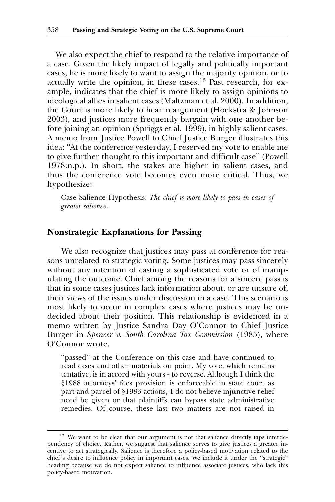We also expect the chief to respond to the relative importance of a case. Given the likely impact of legally and politically important cases, he is more likely to want to assign the majority opinion, or to actually write the opinion, in these cases.<sup>13</sup> Past research, for example, indicates that the chief is more likely to assign opinions to ideological allies in salient cases (Maltzman et al. 2000). In addition, the Court is more likely to hear reargument (Hoekstra & Johnson 2003), and justices more frequently bargain with one another before joining an opinion (Spriggs et al. 1999), in highly salient cases. A memo from Justice Powell to Chief Justice Burger illustrates this idea: ''At the conference yesterday, I reserved my vote to enable me to give further thought to this important and difficult case'' (Powell 1978:n.p.). In short, the stakes are higher in salient cases, and thus the conference vote becomes even more critical. Thus, we hypothesize:

Case Salience Hypothesis: The chief is more likely to pass in cases of greater salience.

## Nonstrategic Explanations for Passing

We also recognize that justices may pass at conference for reasons unrelated to strategic voting. Some justices may pass sincerely without any intention of casting a sophisticated vote or of manipulating the outcome. Chief among the reasons for a sincere pass is that in some cases justices lack information about, or are unsure of, their views of the issues under discussion in a case. This scenario is most likely to occur in complex cases where justices may be undecided about their position. This relationship is evidenced in a memo written by Justice Sandra Day O'Connor to Chief Justice Burger in Spencer v. South Carolina Tax Commission (1985), where O'Connor wrote,

''passed'' at the Conference on this case and have continued to read cases and other materials on point. My vote, which remains tentative, is in accord with yours - to reverse. Although I think the §1988 attorneys' fees provision is enforceable in state court as part and parcel of §1983 actions, I do not believe injunctive relief need be given or that plaintiffs can bypass state administrative remedies. Of course, these last two matters are not raised in

<sup>&</sup>lt;sup>13</sup> We want to be clear that our argument is not that salience directly taps interdependency of choice. Rather, we suggest that salience serves to give justices a greater incentive to act strategically. Salience is therefore a policy-based motivation related to the chief 's desire to influence policy in important cases. We include it under the ''strategic'' heading because we do not expect salience to influence associate justices, who lack this policy-based motivation.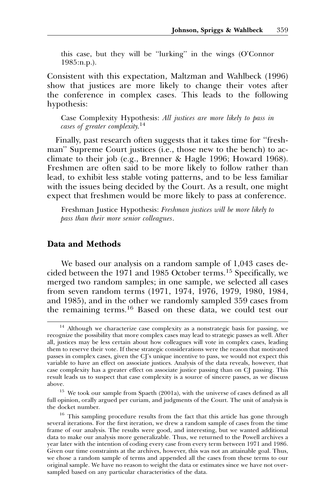this case, but they will be ''lurking'' in the wings (O'Connor 1985:n.p.).

Consistent with this expectation, Maltzman and Wahlbeck (1996) show that justices are more likely to change their votes after the conference in complex cases. This leads to the following hypothesis:

Case Complexity Hypothesis: All justices are more likely to pass in cases of greater complexity.<sup>14</sup>

Finally, past research often suggests that it takes time for ''freshman'' Supreme Court justices (i.e., those new to the bench) to acclimate to their job (e.g., Brenner & Hagle 1996; Howard 1968). Freshmen are often said to be more likely to follow rather than lead, to exhibit less stable voting patterns, and to be less familiar with the issues being decided by the Court. As a result, one might expect that freshmen would be more likely to pass at conference.

Freshman Justice Hypothesis: Freshman justices will be more likely to pass than their more senior colleagues.

## Data and Methods

We based our analysis on a random sample of 1,043 cases decided between the 1971 and 1985 October terms.<sup>15</sup> Specifically, we merged two random samples; in one sample, we selected all cases from seven random terms (1971, 1974, 1976, 1979, 1980, 1984, and 1985), and in the other we randomly sampled 359 cases from the remaining terms.16 Based on these data, we could test our

<sup>&</sup>lt;sup>14</sup> Although we characterize case complexity as a nonstrategic basis for passing, we recognize the possibility that more complex cases may lead to strategic passes as well. After all, justices may be less certain about how colleagues will vote in complex cases, leading them to reserve their vote. If these strategic considerations were the reason that motivated passes in complex cases, given the CJ's unique incentive to pass, we would not expect this variable to have an effect on associate justices. Analysis of the data reveals, however, that case complexity has a greater effect on associate justice passing than on CJ passing. This result leads us to suspect that case complexity is a source of sincere passes, as we discuss above.

<sup>&</sup>lt;sup>15</sup> We took our sample from Spaeth (2001a), with the universe of cases defined as all full opinion, orally argued per curiam, and judgments of the Court. The unit of analysis is the docket number.

<sup>&</sup>lt;sup>16</sup> This sampling procedure results from the fact that this article has gone through several iterations. For the first iteration, we drew a random sample of cases from the time frame of our analysis. The results were good, and interesting, but we wanted additional data to make our analysis more generalizable. Thus, we returned to the Powell archives a year later with the intention of coding every case from every term between 1971 and 1986. Given our time constraints at the archives, however, this was not an attainable goal. Thus, we chose a random sample of terms and appended all the cases from these terms to our original sample. We have no reason to weight the data or estimates since we have not oversampled based on any particular characteristics of the data.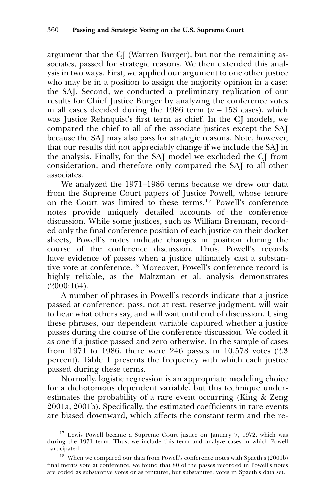argument that the CJ (Warren Burger), but not the remaining associates, passed for strategic reasons. We then extended this analysis in two ways. First, we applied our argument to one other justice who may be in a position to assign the majority opinion in a case: the SAJ. Second, we conducted a preliminary replication of our results for Chief Justice Burger by analyzing the conference votes in all cases decided during the 1986 term  $(n = 153 \text{ cases})$ , which was Justice Rehnquist's first term as chief. In the CJ models, we compared the chief to all of the associate justices except the SAJ because the SAJ may also pass for strategic reasons. Note, however, that our results did not appreciably change if we include the SAJ in the analysis. Finally, for the SAJ model we excluded the CJ from consideration, and therefore only compared the SAJ to all other associates.

We analyzed the 1971–1986 terms because we drew our data from the Supreme Court papers of Justice Powell, whose tenure on the Court was limited to these terms.<sup>17</sup> Powell's conference notes provide uniquely detailed accounts of the conference discussion. While some justices, such as William Brennan, recorded only the final conference position of each justice on their docket sheets, Powell's notes indicate changes in position during the course of the conference discussion. Thus, Powell's records have evidence of passes when a justice ultimately cast a substantive vote at conference.18 Moreover, Powell's conference record is highly reliable, as the Maltzman et al. analysis demonstrates (2000:164).

A number of phrases in Powell's records indicate that a justice passed at conference: pass, not at rest, reserve judgment, will wait to hear what others say, and will wait until end of discussion. Using these phrases, our dependent variable captured whether a justice passes during the course of the conference discussion. We coded it as one if a justice passed and zero otherwise. In the sample of cases from 1971 to 1986, there were 246 passes in 10,578 votes (2.3 percent). Table 1 presents the frequency with which each justice passed during these terms.

Normally, logistic regression is an appropriate modeling choice for a dichotomous dependent variable, but this technique underestimates the probability of a rare event occurring (King & Zeng 2001a, 2001b). Specifically, the estimated coefficients in rare events are biased downward, which affects the constant term and the re-

<sup>&</sup>lt;sup>17</sup> Lewis Powell became a Supreme Court justice on January 7, 1972, which was during the 1971 term. Thus, we include this term and analyze cases in which Powell participated.

 $^{18}\,$  When we compared our data from Powell's conference notes with Spaeth's (2001b) final merits vote at conference, we found that 80 of the passes recorded in Powell's notes are coded as substantive votes or as tentative, but substantive, votes in Spaeth's data set.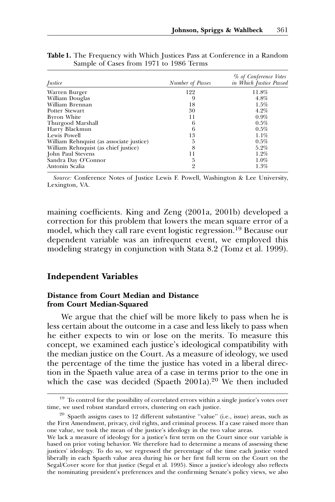| <i><u>Iustice</u></i>                    | Number of Passes | % of Conference Votes<br>in Which Justice Passed |
|------------------------------------------|------------------|--------------------------------------------------|
| Warren Burger                            | 122              | 11.8%                                            |
| William Douglas                          | 9                | 4.8%                                             |
| William Brennan                          | 18               | 1.5%                                             |
| Potter Stewart                           | 30               | 4.2%                                             |
| <b>Byron White</b>                       | 11               | $0.9\%$                                          |
| Thurgood Marshall                        | 6                | 0.5%                                             |
| Harry Blackmun                           | 6                | 0.5%                                             |
| Lewis Powell                             | 13               | 1.1%                                             |
| William Rehnquist (as associate justice) | 5                | 0.5%                                             |
| William Rehnquist (as chief justice)     | 8                | 5.2%                                             |
| John Paul Stevens                        |                  | 1.2%                                             |
| Sandra Day O'Connor                      | 5                | $1.0\%$                                          |
| Antonin Scalia                           | $\overline{2}$   | 1.3%                                             |

Table 1. The Frequency with Which Justices Pass at Conference in a Random Sample of Cases from 1971 to 1986 Terms

Source: Conference Notes of Justice Lewis F. Powell, Washington & Lee University, Lexington, VA.

maining coefficients. King and Zeng (2001a, 2001b) developed a correction for this problem that lowers the mean square error of a model, which they call rare event logistic regression.<sup>19</sup> Because our dependent variable was an infrequent event, we employed this modeling strategy in conjunction with Stata 8.2 (Tomz et al. 1999).

## Independent Variables

## Distance from Court Median and Distance from Court Median-Squared

We argue that the chief will be more likely to pass when he is less certain about the outcome in a case and less likely to pass when he either expects to win or lose on the merits. To measure this concept, we examined each justice's ideological compatibility with the median justice on the Court. As a measure of ideology, we used the percentage of the time the justice has voted in a liberal direction in the Spaeth value area of a case in terms prior to the one in which the case was decided (Spaeth 2001a).<sup>20</sup> We then included

<sup>&</sup>lt;sup>19</sup> To control for the possibility of correlated errors within a single justice's votes over time, we used robust standard errors, clustering on each justice.

 $20$  Spaeth assigns cases to 12 different substantive "value" (i.e., issue) areas, such as the First Amendment, privacy, civil rights, and criminal process. If a case raised more than one value, we took the mean of the justice's ideology in the two value areas.

We lack a measure of ideology for a justice's first term on the Court since our variable is based on prior voting behavior. We therefore had to determine a means of assessing these justices' ideology. To do so, we regressed the percentage of the time each justice voted liberally in each Spaeth value area during his or her first full term on the Court on the Segal/Cover score for that justice (Segal et al. 1995). Since a justice's ideology also reflects the nominating president's preferences and the confirming Senate's policy views, we also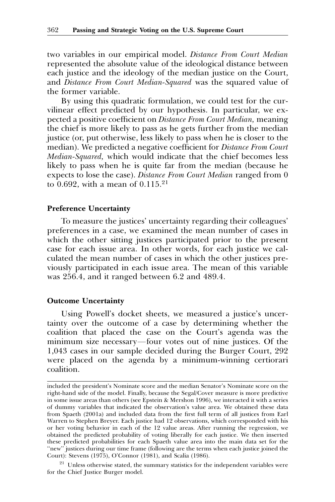two variables in our empirical model. Distance From Court Median represented the absolute value of the ideological distance between each justice and the ideology of the median justice on the Court, and Distance From Court Median-Squared was the squared value of the former variable.

By using this quadratic formulation, we could test for the curvilinear effect predicted by our hypothesis. In particular, we expected a positive coefficient on Distance From Court Median, meaning the chief is more likely to pass as he gets further from the median justice (or, put otherwise, less likely to pass when he is closer to the median). We predicted a negative coefficient for *Distance From Court* Median-Squared, which would indicate that the chief becomes less likely to pass when he is quite far from the median (because he expects to lose the case). Distance From Court Median ranged from 0 to 0.692, with a mean of  $0.115.^{21}$ 

## Preference Uncertainty

To measure the justices' uncertainty regarding their colleagues' preferences in a case, we examined the mean number of cases in which the other sitting justices participated prior to the present case for each issue area. In other words, for each justice we calculated the mean number of cases in which the other justices previously participated in each issue area. The mean of this variable was 256.4, and it ranged between 6.2 and 489.4.

#### Outcome Uncertainty

Using Powell's docket sheets, we measured a justice's uncertainty over the outcome of a case by determining whether the coalition that placed the case on the Court's agenda was the minimum size necessary—four votes out of nine justices. Of the 1,043 cases in our sample decided during the Burger Court, 292 were placed on the agenda by a minimum-winning certiorari coalition.

included the president's Nominate score and the median Senator's Nominate score on the right-hand side of the model. Finally, because the Segal/Cover measure is more predictive in some issue areas than others (see Epstein & Mershon 1996), we interacted it with a series of dummy variables that indicated the observation's value area. We obtained these data from Spaeth (2001a) and included data from the first full term of all justices from Earl Warren to Stephen Breyer. Each justice had 12 observations, which corresponded with his or her voting behavior in each of the 12 value areas. After running the regression, we obtained the predicted probability of voting liberally for each justice. We then inserted these predicted probabilities for each Spaeth value area into the main data set for the ''new'' justices during our time frame (following are the terms when each justice joined the Court): Stevens (1975), O'Connor (1981), and Scalia (1986).

 $21$  Unless otherwise stated, the summary statistics for the independent variables were for the Chief Justice Burger model.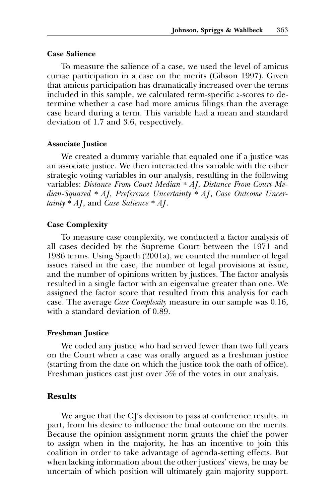#### Case Salience

To measure the salience of a case, we used the level of amicus curiae participation in a case on the merits (Gibson 1997). Given that amicus participation has dramatically increased over the terms included in this sample, we calculated term-specific z-scores to determine whether a case had more amicus filings than the average case heard during a term. This variable had a mean and standard deviation of 1.7 and 3.6, respectively.

## Associate Justice

We created a dummy variable that equaled one if a justice was an associate justice. We then interacted this variable with the other strategic voting variables in our analysis, resulting in the following variables: Distance From Court Median  $*$  AJ, Distance From Court Median-Squared \* AJ, Preference Uncertainty \* AJ, Case Outcome Uncertainty  $*AJ$ , and Case Salience  $*AJ$ .

## Case Complexity

To measure case complexity, we conducted a factor analysis of all cases decided by the Supreme Court between the 1971 and 1986 terms. Using Spaeth (2001a), we counted the number of legal issues raised in the case, the number of legal provisions at issue, and the number of opinions written by justices. The factor analysis resulted in a single factor with an eigenvalue greater than one. We assigned the factor score that resulted from this analysis for each case. The average *Case Complexity* measure in our sample was 0.16, with a standard deviation of 0.89.

#### Freshman Justice

We coded any justice who had served fewer than two full years on the Court when a case was orally argued as a freshman justice (starting from the date on which the justice took the oath of office). Freshman justices cast just over 5% of the votes in our analysis.

### Results

We argue that the CJ's decision to pass at conference results, in part, from his desire to influence the final outcome on the merits. Because the opinion assignment norm grants the chief the power to assign when in the majority, he has an incentive to join this coalition in order to take advantage of agenda-setting effects. But when lacking information about the other justices' views, he may be uncertain of which position will ultimately gain majority support.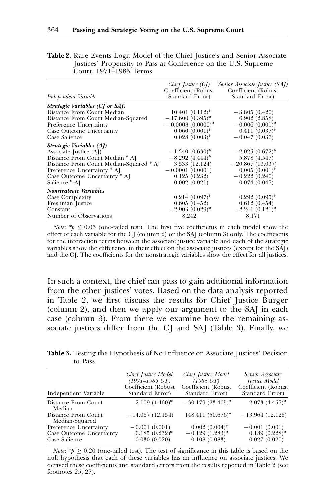| Independent Variable                    | <i>Chief Justice</i> $(CI)$<br>Coefficient (Robust<br>Standard Error) | Senior Associate Justice (SAJ)<br>Coefficient (Robust)<br>Standard Error) |
|-----------------------------------------|-----------------------------------------------------------------------|---------------------------------------------------------------------------|
|                                         |                                                                       |                                                                           |
| Strategic Variables (CJ or SAJ)         |                                                                       |                                                                           |
| Distance From Court Median              | $10.401(0.112)^*$                                                     | $-3.805(0.420)$                                                           |
| Distance From Court Median-Squared      | $-17.600(0.395)^*$                                                    | 6.902(2.858)                                                              |
| Preference Uncertainty                  | $-0.0008(0.0000)^*$                                                   | $-0.006(0.001)^*$                                                         |
| Case Outcome Uncertainty                | $0.060(0.001)$ *                                                      | $0.411(0.037)^*$                                                          |
| Case Salience                           | $0.028(0.003)^*$                                                      | $-0.047(0.036)$                                                           |
| Strategic Variables (AJ)                |                                                                       |                                                                           |
| Associate Justice (AJ)                  | $-1.340(0.630)^{*}$                                                   | $-2.025(0.672)^{*}$                                                       |
| Distance From Court Median * AJ         | $-8.292(4.444)^*$                                                     | 5.878 (4.547)                                                             |
| Distance From Court Median-Squared * AJ | 3.533 (12.124)                                                        | $-20.867(13.037)$                                                         |
| Preference Uncertainty * AJ             | $-0.0001(0.0001)$                                                     | $0.005(0.001)^*$                                                          |
| Case Outcome Uncertainty * AJ           | 0.125(0.232)                                                          | $-0.222(0.240)$                                                           |
| Salience * AJ                           | 0.002(0.021)                                                          | 0.074(0.047)                                                              |
| Nonstrategic Variables                  |                                                                       |                                                                           |
| Case Complexity                         | $0.214(0.097)^*$                                                      | $0.292(0.095)^*$                                                          |
| Freshman Justice                        | 0.605(0.452)                                                          | 0.612(0.454)                                                              |
| Constant                                | $-2.903(0.029)^*$                                                     | $-2.241(0.121)^*$                                                         |
| Number of Observations                  | 8,242                                                                 | 8,171                                                                     |

Table 2. Rare Events Logit Model of the Chief Justice's and Senior Associate Justices' Propensity to Pass at Conference on the U.S. Supreme Court, 1971–1985 Terms

*Note:*  $*\!p \leq 0.05$  (one-tailed test). The first five coefficients in each model show the effect of each variable for the CJ (column 2) or the SAJ (column 3) only. The coefficients for the interaction terms between the associate justice variable and each of the strategic variables show the difference in their effect on the associate justices (except for the SAJ) and the CJ. The coefficients for the nonstrategic variables show the effect for all justices.

In such a context, the chief can pass to gain additional information from the other justices' votes. Based on the data analysis reported in Table 2, we first discuss the results for Chief Justice Burger (column 2), and then we apply our argument to the SAJ in each case (column 3). From there we examine how the remaining associate justices differ from the CJ and SAJ (Table 3). Finally, we

Table 3. Testing the Hypothesis of No Influence on Associate Justices' Decision to Pass

| Independent Variable                      | Chief Justice Model<br>$(1971 - 1985 \text{ OT})$<br>Coefficient (Robust<br>Standard Error) | Chief Justice Model<br>$(1986 \t O T)$<br>Coefficient (Robust<br>Standard Error) | Senior Associate<br><i>Justice Model</i><br>Coefficient (Robust<br>Standard Error) |
|-------------------------------------------|---------------------------------------------------------------------------------------------|----------------------------------------------------------------------------------|------------------------------------------------------------------------------------|
| Distance From Court<br>Median             | $2.109(4.460)^*$                                                                            | $-30.179(23.405)^*$                                                              | $2.073(4.457)^*$                                                                   |
| Distance From Court<br>Median-Squared     | $-14.067(12.154)$                                                                           | $148.411(50.676)^*$                                                              | $-13.964(12.125)$                                                                  |
| Preference Uncertainty                    | $-0.001(0.001)$                                                                             | $0.002(0.004)^*$                                                                 | $-0.001(0.001)$                                                                    |
| Case Outcome Uncertainty<br>Case Salience | $0.185(0.232)^*$<br>0.030(0.020)                                                            | $-0.129(1.283)^*$<br>0.108(0.083)                                                | $0.189(0.228)^*$<br>0.027(0.020)                                                   |

*Note:* \* $p \geq 0.20$  (one-tailed test). The test of significance in this table is based on the null hypothesis that each of these variables has an influence on associate justices. We derived these coefficients and standard errors from the results reported in Table 2 (see footnotes 25, 27).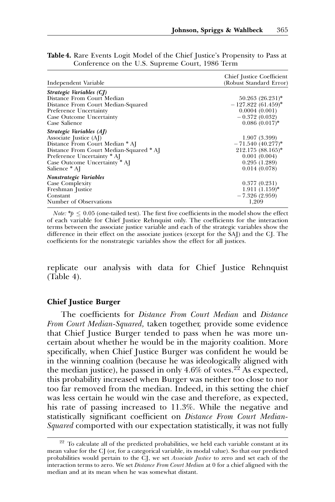| Independent Variable                    | <b>Chief Justice Coefficient</b><br>(Robust Standard Error) |
|-----------------------------------------|-------------------------------------------------------------|
| Strategic Variables (CJ)                |                                                             |
| Distance From Court Median              | $50.263(26.231)^*$                                          |
| Distance From Court Median-Squared      | $-127.822(61.459)^*$                                        |
| Preference Uncertainty                  | 0.0004(0.001)                                               |
| Case Outcome Uncertainty                | $-0.372(0.032)$                                             |
| Case Salience                           | $0.086(0.017)^*$                                            |
| Strategic Variables (AJ)                |                                                             |
| Associate Justice (AJ)                  | 1.907 (3.399)                                               |
| Distance From Court Median * AJ         | $-71.540(40.277)^*$                                         |
| Distance From Court Median-Squared * AJ | 212.175 (88.165)*                                           |
| Preference Uncertainty * AJ             | 0.001(0.004)                                                |
| Case Outcome Uncertainty * AJ           | 0.295(1.289)                                                |
| Salience * AJ                           | 0.014(0.078)                                                |
| Nonstrategic Variables                  |                                                             |
| Case Complexity                         | 0.377(0.231)                                                |
| Freshman Justice                        | $1.911(1.159)$ *                                            |
| Constant                                | $-7.326(2.959)$                                             |
| Number of Observations                  | 1,209                                                       |

Table 4. Rare Events Logit Model of the Chief Justice's Propensity to Pass at Conference on the U.S. Supreme Court, 1986 Term

*Note:*  $*\!p \leq 0.05$  (one-tailed test). The first five coefficients in the model show the effect of each variable for Chief Justice Rehnquist only. The coefficients for the interaction terms between the associate justice variable and each of the strategic variables show the difference in their effect on the associate justices (except for the SAJ) and the CJ. The coefficients for the nonstrategic variables show the effect for all justices.

replicate our analysis with data for Chief Justice Rehnquist (Table 4).

#### Chief Justice Burger

The coefficients for Distance From Court Median and Distance From Court Median-Squared, taken together, provide some evidence that Chief Justice Burger tended to pass when he was more uncertain about whether he would be in the majority coalition. More specifically, when Chief Justice Burger was confident he would be in the winning coalition (because he was ideologically aligned with the median justice), he passed in only  $4.6\%$  of votes.<sup>22</sup> As expected, this probability increased when Burger was neither too close to nor too far removed from the median. Indeed, in this setting the chief was less certain he would win the case and therefore, as expected, his rate of passing increased to 11.3%. While the negative and statistically significant coefficient on Distance From Court Median-Squared comported with our expectation statistically, it was not fully

 $22$  To calculate all of the predicted probabilities, we held each variable constant at its mean value for the CJ (or, for a categorical variable, its modal value). So that our predicted probabilities would pertain to the CJ, we set Associate Justice to zero and set each of the interaction terms to zero. We set *Distance From Court Median* at 0 for a chief aligned with the median and at its mean when he was somewhat distant.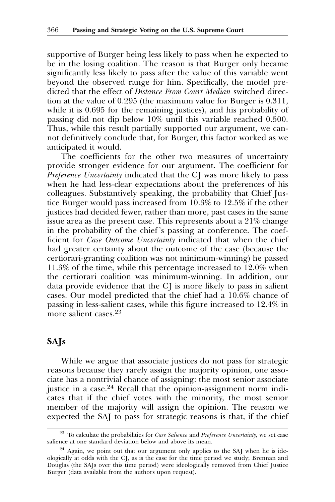supportive of Burger being less likely to pass when he expected to be in the losing coalition. The reason is that Burger only became significantly less likely to pass after the value of this variable went beyond the observed range for him. Specifically, the model predicted that the effect of Distance From Court Median switched direction at the value of 0.295 (the maximum value for Burger is 0.311, while it is 0.695 for the remaining justices), and his probability of passing did not dip below 10% until this variable reached 0.500. Thus, while this result partially supported our argument, we cannot definitively conclude that, for Burger, this factor worked as we anticipated it would.

The coefficients for the other two measures of uncertainty provide stronger evidence for our argument. The coefficient for Preference Uncertainty indicated that the CJ was more likely to pass when he had less-clear expectations about the preferences of his colleagues. Substantively speaking, the probability that Chief Justice Burger would pass increased from 10.3% to 12.5% if the other justices had decided fewer, rather than more, past cases in the same issue area as the present case. This represents about a 21% change in the probability of the chief 's passing at conference. The coefficient for *Case Outcome Uncertainty* indicated that when the chief had greater certainty about the outcome of the case (because the certiorari-granting coalition was not minimum-winning) he passed 11.3% of the time, while this percentage increased to 12.0% when the certiorari coalition was minimum-winning. In addition, our data provide evidence that the CJ is more likely to pass in salient cases. Our model predicted that the chief had a 10.6% chance of passing in less-salient cases, while this figure increased to 12.4% in more salient cases.23

## SAJs

While we argue that associate justices do not pass for strategic reasons because they rarely assign the majority opinion, one associate has a nontrivial chance of assigning: the most senior associate justice in a case.<sup>24</sup> Recall that the opinion-assignment norm indicates that if the chief votes with the minority, the most senior member of the majority will assign the opinion. The reason we expected the SAJ to pass for strategic reasons is that, if the chief

 $23$  To calculate the probabilities for *Case Salience* and *Preference Uncertainty*, we set case salience at one standard deviation below and above its mean.

<sup>&</sup>lt;sup>24</sup> Again, we point out that our argument only applies to the SAJ when he is ideologically at odds with the CJ, as is the case for the time period we study; Brennan and Douglas (the SAJs over this time period) were ideologically removed from Chief Justice Burger (data available from the authors upon request).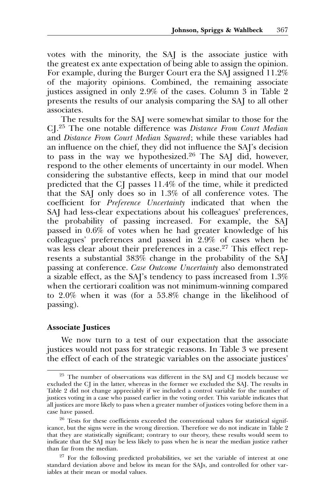votes with the minority, the SAJ is the associate justice with the greatest ex ante expectation of being able to assign the opinion. For example, during the Burger Court era the SAJ assigned 11.2% of the majority opinions. Combined, the remaining associate justices assigned in only 2.9% of the cases. Column 3 in Table 2 presents the results of our analysis comparing the SAJ to all other associates.

The results for the SAJ were somewhat similar to those for the CL<sup>25</sup> The one notable difference was *Distance From Court Median* and Distance From Court Median Squared; while these variables had an influence on the chief, they did not influence the SAJ's decision to pass in the way we hypothesized.26 The SAJ did, however, respond to the other elements of uncertainty in our model. When considering the substantive effects, keep in mind that our model predicted that the CJ passes 11.4% of the time, while it predicted that the SAJ only does so in 1.3% of all conference votes. The coefficient for Preference Uncertainty indicated that when the SAJ had less-clear expectations about his colleagues' preferences, the probability of passing increased. For example, the SAJ passed in 0.6% of votes when he had greater knowledge of his colleagues' preferences and passed in 2.9% of cases when he was less clear about their preferences in a case.<sup>27</sup> This effect represents a substantial 383% change in the probability of the SAJ passing at conference. Case Outcome Uncertainty also demonstrated a sizable effect, as the SAJ's tendency to pass increased from 1.3% when the certiorari coalition was not minimum-winning compared to 2.0% when it was (for a 53.8% change in the likelihood of passing).

#### Associate Justices

We now turn to a test of our expectation that the associate justices would not pass for strategic reasons. In Table 3 we present the effect of each of the strategic variables on the associate justices'

<sup>27</sup> For the following predicted probabilities, we set the variable of interest at one standard deviation above and below its mean for the SAJs, and controlled for other variables at their mean or modal values.

<sup>&</sup>lt;sup>25</sup> The number of observations was different in the SAJ and CJ models because we excluded the CJ in the latter, whereas in the former we excluded the SAJ. The results in Table 2 did not change appreciably if we included a control variable for the number of justices voting in a case who passed earlier in the voting order. This variable indicates that all justices are more likely to pass when a greater number of justices voting before them in a case have passed.

 $26$  Tests for these coefficients exceeded the conventional values for statistical significance, but the signs were in the wrong direction. Therefore we do not indicate in Table 2 that they are statistically significant; contrary to our theory, these results would seem to indicate that the SAJ may be less likely to pass when he is near the median justice rather than far from the median.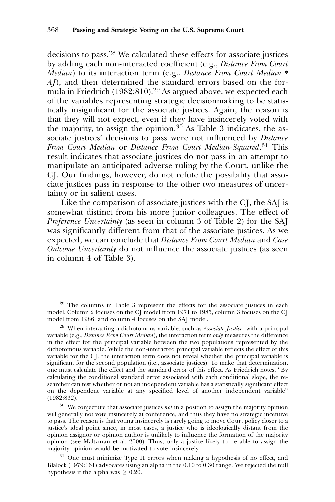decisions to pass.<sup>28</sup> We calculated these effects for associate justices by adding each non-interacted coefficient (e.g., Distance From Court *Median*) to its interaction term (e.g., *Distance From Court Median*  $*$ AJ), and then determined the standard errors based on the formula in Friedrich (1982:810).29 As argued above, we expected each of the variables representing strategic decisionmaking to be statistically insignificant for the associate justices. Again, the reason is that they will not expect, even if they have insincerely voted with the majority, to assign the opinion.<sup>30</sup> As Table 3 indicates, the associate justices' decisions to pass were not influenced by *Distance* From Court Median or Distance From Court Median-Squared.<sup>31</sup> This result indicates that associate justices do not pass in an attempt to manipulate an anticipated adverse ruling by the Court, unlike the CJ. Our findings, however, do not refute the possibility that associate justices pass in response to the other two measures of uncertainty or in salient cases.

Like the comparison of associate justices with the CJ, the SAJ is somewhat distinct from his more junior colleagues. The effect of Preference Uncertainty (as seen in column 3 of Table 2) for the SAJ was significantly different from that of the associate justices. As we expected, we can conclude that Distance From Court Median and Case Outcome Uncertainty do not influence the associate justices (as seen in column 4 of Table 3).

<sup>31</sup> One must minimize Type II errors when making a hypothesis of no effect, and Blalock (1979:161) advocates using an alpha in the 0.10 to 0.30 range. We rejected the null hypothesis if the alpha was  $\geq 0.20$ .

<sup>&</sup>lt;sup>28</sup> The columns in Table 3 represent the effects for the associate justices in each model. Column 2 focuses on the CJ model from 1971 to 1985, column 3 focuses on the CJ model from 1986, and column 4 focuses on the SAJ model.

 $29$  When interacting a dichotomous variable, such as Associate Justice, with a principal variable (e.g., Distance From Court Median), the interaction term only measures the difference in the effect for the principal variable between the two populations represented by the dichotomous variable. While the non-interacted principal variable reflects the effect of this variable for the CJ, the interaction term does not reveal whether the principal variable is significant for the second population (i.e., associate justices). To make that determination, one must calculate the effect and the standard error of this effect. As Friedrich notes, ''By calculating the conditional standard error associated with each conditional slope, the researcher can test whether or not an independent variable has a statistically significant effect on the dependent variable at any specified level of another independent variable'' (1982:832).

 $30$  We conjecture that associate justices not in a position to assign the majority opinion will generally not vote insincerely at conference, and thus they have no strategic incentive to pass. The reason is that voting insincerely is rarely going to move Court policy closer to a justice's ideal point since, in most cases, a justice who is ideologically distant from the opinion assignor or opinion author is unlikely to influence the formation of the majority opinion (see Maltzman et al. 2000). Thus, only a justice likely to be able to assign the majority opinion would be motivated to vote insincerely.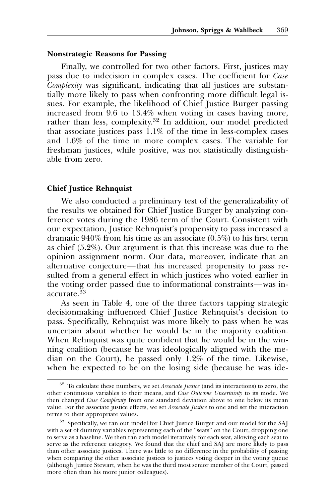## Nonstrategic Reasons for Passing

Finally, we controlled for two other factors. First, justices may pass due to indecision in complex cases. The coefficient for Case Complexity was significant, indicating that all justices are substantially more likely to pass when confronting more difficult legal issues. For example, the likelihood of Chief Justice Burger passing increased from 9.6 to 13.4% when voting in cases having more, rather than less, complexity.<sup>32</sup> In addition, our model predicted that associate justices pass 1.1% of the time in less-complex cases and 1.6% of the time in more complex cases. The variable for freshman justices, while positive, was not statistically distinguishable from zero.

#### Chief Justice Rehnquist

We also conducted a preliminary test of the generalizability of the results we obtained for Chief Justice Burger by analyzing conference votes during the 1986 term of the Court. Consistent with our expectation, Justice Rehnquist's propensity to pass increased a dramatic 940% from his time as an associate (0.5%) to his first term as chief (5.2%). Our argument is that this increase was due to the opinion assignment norm. Our data, moreover, indicate that an alternative conjecture—that his increased propensity to pass resulted from a general effect in which justices who voted earlier in the voting order passed due to informational constraints—was inaccurate.33

As seen in Table 4, one of the three factors tapping strategic decisionmaking influenced Chief Justice Rehnquist's decision to pass. Specifically, Rehnquist was more likely to pass when he was uncertain about whether he would be in the majority coalition. When Rehnquist was quite confident that he would be in the winning coalition (because he was ideologically aligned with the median on the Court), he passed only 1.2% of the time. Likewise, when he expected to be on the losing side (because he was ide-

 $32$  To calculate these numbers, we set *Associate Justice* (and its interactions) to zero, the other continuous variables to their means, and Case Outcome Uncertainty to its mode. We then changed Case Complexity from one standard deviation above to one below its mean value. For the associate justice effects, we set Associate Justice to one and set the interaction terms to their appropriate values.

<sup>&</sup>lt;sup>33</sup> Specifically, we ran our model for Chief Justice Burger and our model for the SAJ with a set of dummy variables representing each of the ''seats'' on the Court, dropping one to serve as a baseline. We then ran each model iteratively for each seat, allowing each seat to serve as the reference category. We found that the chief and SAJ are more likely to pass than other associate justices. There was little to no difference in the probability of passing when comparing the other associate justices to justices voting deeper in the voting queue (although Justice Stewart, when he was the third most senior member of the Court, passed more often than his more junior colleagues).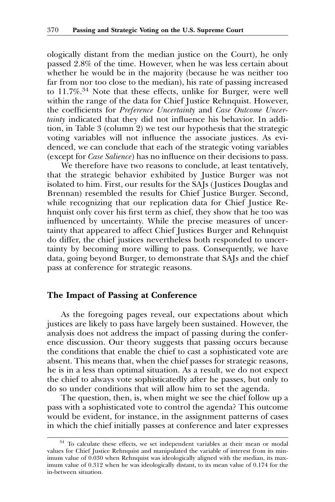ologically distant from the median justice on the Court), he only passed 2.8% of the time. However, when he was less certain about whether he would be in the majority (because he was neither too far from nor too close to the median), his rate of passing increased to 11.7%.34 Note that these effects, unlike for Burger, were well within the range of the data for Chief Justice Rehnquist. However, the coefficients for Preference Uncertainty and Case Outcome Uncer*tainty* indicated that they did not influence his behavior. In addition, in Table 3 (column 2) we test our hypothesis that the strategic voting variables will not influence the associate justices. As evidenced, we can conclude that each of the strategic voting variables (except for Case Salience) has no influence on their decisions to pass.

We therefore have two reasons to conclude, at least tentatively, that the strategic behavior exhibited by Justice Burger was not isolated to him. First, our results for the SAJs (Justices Douglas and Brennan) resembled the results for Chief Justice Burger. Second, while recognizing that our replication data for Chief Justice Rehnquist only cover his first term as chief, they show that he too was influenced by uncertainty. While the precise measures of uncertainty that appeared to affect Chief Justices Burger and Rehnquist do differ, the chief justices nevertheless both responded to uncertainty by becoming more willing to pass. Consequently, we have data, going beyond Burger, to demonstrate that SAJs and the chief pass at conference for strategic reasons.

## The Impact of Passing at Conference

As the foregoing pages reveal, our expectations about which justices are likely to pass have largely been sustained. However, the analysis does not address the impact of passing during the conference discussion. Our theory suggests that passing occurs because the conditions that enable the chief to cast a sophisticated vote are absent. This means that, when the chief passes for strategic reasons, he is in a less than optimal situation. As a result, we do not expect the chief to always vote sophisticatedly after he passes, but only to do so under conditions that will allow him to set the agenda.

The question, then, is, when might we see the chief follow up a pass with a sophisticated vote to control the agenda? This outcome would be evident, for instance, in the assignment patterns of cases in which the chief initially passes at conference and later expresses

 $34$  To calculate these effects, we set independent variables at their mean or modal values for Chief Justice Rehnquist and manipulated the variable of interest from its minimum value of 0.030 when Rehnquist was ideologically aligned with the median, its maximum value of 0.312 when he was ideologically distant, to its mean value of 0.174 for the in-between situation.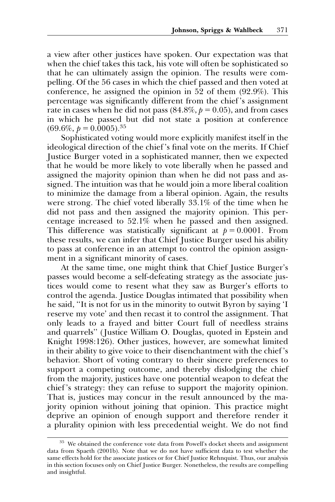a view after other justices have spoken. Our expectation was that when the chief takes this tack, his vote will often be sophisticated so that he can ultimately assign the opinion. The results were compelling. Of the 56 cases in which the chief passed and then voted at conference, he assigned the opinion in 52 of them (92.9%). This percentage was significantly different from the chief 's assignment rate in cases when he did not pass (84.8%,  $p = 0.05$ ), and from cases in which he passed but did not state a position at conference  $(69.6\%, p = 0.0005).^{35}$ 

Sophisticated voting would more explicitly manifest itself in the ideological direction of the chief 's final vote on the merits. If Chief Justice Burger voted in a sophisticated manner, then we expected that he would be more likely to vote liberally when he passed and assigned the majority opinion than when he did not pass and assigned. The intuition was that he would join a more liberal coalition to minimize the damage from a liberal opinion. Again, the results were strong. The chief voted liberally 33.1% of the time when he did not pass and then assigned the majority opinion. This percentage increased to 52.1% when he passed and then assigned. This difference was statistically significant at  $p = 0.0001$ . From these results, we can infer that Chief Justice Burger used his ability to pass at conference in an attempt to control the opinion assignment in a significant minority of cases.

At the same time, one might think that Chief Justice Burger's passes would become a self-defeating strategy as the associate justices would come to resent what they saw as Burger's efforts to control the agenda. Justice Douglas intimated that possibility when he said, ''It is not for us in the minority to outwit Byron by saying 'I reserve my vote' and then recast it to control the assignment. That only leads to a frayed and bitter Court full of needless strains and quarrels'' (Justice William O. Douglas, quoted in Epstein and Knight 1998:126). Other justices, however, are somewhat limited in their ability to give voice to their disenchantment with the chief 's behavior. Short of voting contrary to their sincere preferences to support a competing outcome, and thereby dislodging the chief from the majority, justices have one potential weapon to defeat the chief 's strategy: they can refuse to support the majority opinion. That is, justices may concur in the result announced by the majority opinion without joining that opinion. This practice might deprive an opinion of enough support and therefore render it a plurality opinion with less precedential weight. We do not find

We obtained the conference vote data from Powell's docket sheets and assignment data from Spaeth (2001b). Note that we do not have sufficient data to test whether the same effects hold for the associate justices or for Chief Justice Rehnquist. Thus, our analysis in this section focuses only on Chief Justice Burger. Nonetheless, the results are compelling and insightful.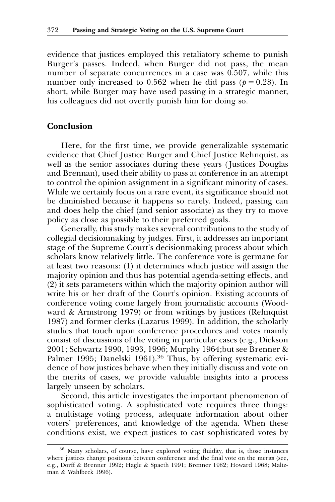evidence that justices employed this retaliatory scheme to punish Burger's passes. Indeed, when Burger did not pass, the mean number of separate concurrences in a case was 0.507, while this number only increased to 0.562 when he did pass ( $p = 0.28$ ). In short, while Burger may have used passing in a strategic manner, his colleagues did not overtly punish him for doing so.

## Conclusion

Here, for the first time, we provide generalizable systematic evidence that Chief Justice Burger and Chief Justice Rehnquist, as well as the senior associates during these years (Justices Douglas and Brennan), used their ability to pass at conference in an attempt to control the opinion assignment in a significant minority of cases. While we certainly focus on a rare event, its significance should not be diminished because it happens so rarely. Indeed, passing can and does help the chief (and senior associate) as they try to move policy as close as possible to their preferred goals.

Generally, this study makes several contributions to the study of collegial decisionmaking by judges. First, it addresses an important stage of the Supreme Court's decisionmaking process about which scholars know relatively little. The conference vote is germane for at least two reasons: (1) it determines which justice will assign the majority opinion and thus has potential agenda-setting effects, and (2) it sets parameters within which the majority opinion author will write his or her draft of the Court's opinion. Existing accounts of conference voting come largely from journalistic accounts (Woodward & Armstrong 1979) or from writings by justices (Rehnquist 1987) and former clerks (Lazarus 1999). In addition, the scholarly studies that touch upon conference procedures and votes mainly consist of discussions of the voting in particular cases (e.g., Dickson 2001; Schwartz 1990, 1993, 1996; Murphy 1964;but see Brenner & Palmer 1995; Danelski 1961).<sup>36</sup> Thus, by offering systematic evidence of how justices behave when they initially discuss and vote on the merits of cases, we provide valuable insights into a process largely unseen by scholars.

Second, this article investigates the important phenomenon of sophisticated voting. A sophisticated vote requires three things: a multistage voting process, adequate information about other voters' preferences, and knowledge of the agenda. When these conditions exist, we expect justices to cast sophisticated votes by

<sup>36</sup> Many scholars, of course, have explored voting fluidity, that is, those instances where justices change positions between conference and the final vote on the merits (see, e.g., Dorff & Brenner 1992; Hagle & Spaeth 1991; Brenner 1982; Howard 1968; Maltzman & Wahlbeck 1996).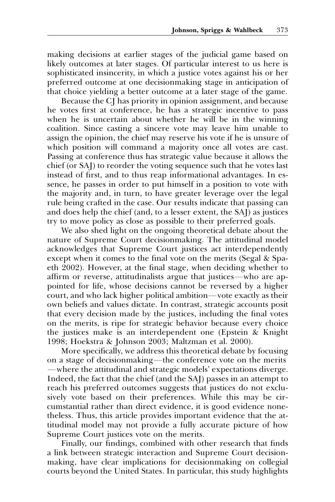making decisions at earlier stages of the judicial game based on likely outcomes at later stages. Of particular interest to us here is sophisticated insincerity, in which a justice votes against his or her preferred outcome at one decisionmaking stage in anticipation of that choice yielding a better outcome at a later stage of the game.

Because the CJ has priority in opinion assignment, and because he votes first at conference, he has a strategic incentive to pass when he is uncertain about whether he will be in the winning coalition. Since casting a sincere vote may leave him unable to assign the opinion, the chief may reserve his vote if he is unsure of which position will command a majority once all votes are cast. Passing at conference thus has strategic value because it allows the chief (or SAJ) to reorder the voting sequence such that he votes last instead of first, and to thus reap informational advantages. In essence, he passes in order to put himself in a position to vote with the majority and, in turn, to have greater leverage over the legal rule being crafted in the case. Our results indicate that passing can and does help the chief (and, to a lesser extent, the SAJ) as justices try to move policy as close as possible to their preferred goals.

We also shed light on the ongoing theoretical debate about the nature of Supreme Court decisionmaking. The attitudinal model acknowledges that Supreme Court justices act interdependently except when it comes to the final vote on the merits (Segal & Spaeth 2002). However, at the final stage, when deciding whether to affirm or reverse, attitudinalists argue that justices—who are appointed for life, whose decisions cannot be reversed by a higher court, and who lack higher political ambition—vote exactly as their own beliefs and values dictate. In contrast, strategic accounts posit that every decision made by the justices, including the final votes on the merits, is ripe for strategic behavior because every choice the justices make is an interdependent one (Epstein & Knight 1998; Hoekstra & Johnson 2003; Maltzman et al. 2000).

More specifically, we address this theoretical debate by focusing on a stage of decisionmaking—the conference vote on the merits —where the attitudinal and strategic models' expectations diverge. Indeed, the fact that the chief (and the SAJ) passes in an attempt to reach his preferred outcomes suggests that justices do not exclusively vote based on their preferences. While this may be circumstantial rather than direct evidence, it is good evidence nonetheless. Thus, this article provides important evidence that the attitudinal model may not provide a fully accurate picture of how Supreme Court justices vote on the merits.

Finally, our findings, combined with other research that finds a link between strategic interaction and Supreme Court decisionmaking, have clear implications for decisionmaking on collegial courts beyond the United States. In particular, this study highlights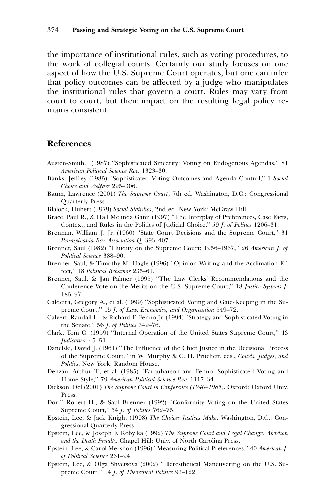the importance of institutional rules, such as voting procedures, to the work of collegial courts. Certainly our study focuses on one aspect of how the U.S. Supreme Court operates, but one can infer that policy outcomes can be affected by a judge who manipulates the institutional rules that govern a court. Rules may vary from court to court, but their impact on the resulting legal policy remains consistent.

## References

- Austen-Smith, (1987) ''Sophisticated Sincerity: Voting on Endogenous Agendas,'' 81 American Political Science Rev. 1323–30.
- Banks, Jeffrey (1985) ''Sophisticated Voting Outcomes and Agenda Control,'' 1 Social Choice and Welfare 295–306.
- Baum, Lawrence (2001) The Supreme Court, 7th ed. Washington, D.C.: Congressional Quarterly Press.
- Blalock, Hubert (1979) Social Statistics, 2nd ed. New York: McGraw-Hill.
- Brace, Paul R., & Hall Melinda Gann (1997) ''The Interplay of Preferences, Case Facts, Context, and Rules in the Politics of Judicial Choice,'' 59 J. of Politics 1206–31.
- Brennan, William J. Jr. (1960) ''State Court Decisions and the Supreme Court,'' 31 Pennsylvania Bar Association Q. 393–407.
- Brenner, Saul (1982) "Fluidity on the Supreme Court: 1956-1967," 26 American J. of Political Science 388–90.
- Brenner, Saul, & Timothy M. Hagle (1996) ''Opinion Writing and the Acclimation Effect,'' 18 Political Behavior 235–61.
- Brenner, Saul, & Jan Palmer (1995) ''The Law Clerks' Recommendations and the Conference Vote on-the-Merits on the U.S. Supreme Court,'' 18 Justice Systems J. 185–97.
- Caldeira, Gregory A., et al. (1999) ''Sophisticated Voting and Gate-Keeping in the Supreme Court,'' 15 J. of Law, Economics, and Organization 549–72.
- Calvert, Randall L., & Richard F. Fenno Jr. (1994) ''Strategy and Sophisticated Voting in the Senate,'' 56 J. of Politics 349–76.
- Clark, Tom C. (1959) ''Internal Operation of the United States Supreme Court,'' 43 Judicature 45–51.
- Danelski, David J. (1961) ''The Influence of the Chief Justice in the Decisional Process of the Supreme Court,'' in W. Murphy & C. H. Pritchett, eds., Courts, Judges, and Politics. New York: Random House.
- Denzau, Arthur T., et al. (1985) ''Farquharson and Fenno: Sophisticated Voting and Home Style,'' 79 American Political Science Rev. 1117–34.
- Dickson, Del (2001) The Supreme Court in Conference (1940–1985). Oxford: Oxford Univ. Press.
- Dorff, Robert H., & Saul Brenner (1992) ''Conformity Voting on the United States Supreme Court," 54 *J. of Politics* 762-75.
- Epstein, Lee, & Jack Knight (1998) The Choices Justices Make. Washington, D.C.: Congressional Quarterly Press.
- Epstein, Lee, & Joseph F. Kobylka (1992) The Supreme Court and Legal Change: Abortion and the Death Penalty. Chapel Hill: Univ. of North Carolina Press.
- Epstein, Lee, & Carol Mershon (1996) ''Measuring Political Preferences,'' 40 American J. of Political Science 261–94.
- Epstein, Lee, & Olga Shvetsova (2002) ''Heresthetical Maneuvering on the U.S. Supreme Court," 14 J. of Theoretical Politics 93-122.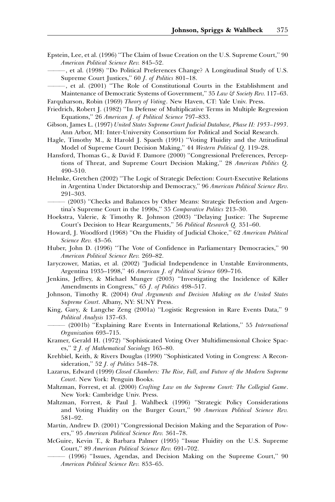Epstein, Lee, et al. (1996) ''The Claim of Issue Creation on the U.S. Supreme Court,'' 90 American Political Science Rev. 845–52.

-, et al. (1998) "Do Political Preferences Change? A Longitudinal Study of U.S. Supreme Court Justices,'' 60 J. of Politics 801–18.

-, et al. (2001) "The Role of Constitutional Courts in the Establishment and Maintenance of Democratic Systems of Government," 35 Law & Society Rev. 117-63. Farquharson, Robin (1969) Theory of Voting. New Haven, CT: Yale Univ. Press.

- Friedrich, Robert J. (1982) ''In Defense of Multiplicative Terms in Multiple Regression Equations,'' 26 American J. of Political Science 797–833.
- Gibson, James L. (1997) United States Supreme Court Judicial Database, Phase II: 1953–1993. Ann Arbor, MI: Inter-University Consortium for Political and Social Research.
- Hagle, Timothy M., & Harold J. Spaeth (1991) ''Voting Fluidity and the Attitudinal Model of Supreme Court Decision Making,'' 44 Western Political Q. 119–28.
- Hansford, Thomas G., & David F. Damore (2000) ''Congressional Preferences, Perceptions of Threat, and Supreme Court Decision Making,'' 28 American Politics Q. 490–510.
- Helmke, Gretchen (2002) ''The Logic of Strategic Defection: Court-Executive Relations in Argentina Under Dictatorship and Democracy,'' 96 American Political Science Rev. 291–303.
- (2003) "Checks and Balances by Other Means: Strategic Defection and Argentina's Supreme Court in the 1990s,'' 35 Comparative Politics 213–30.
- Hoekstra, Valerie, & Timothy R. Johnson (2003) ''Delaying Justice: The Supreme Court's Decision to Hear Rearguments,'' 56 Political Research Q. 351–60.
- Howard, J. Woodford (1968) "On the Fluidity of Judicial Choice," 62 American Political Science Rev. 43–56.
- Huber, John D. (1996) "The Vote of Confidence in Parliamentary Democracies," 90 American Political Science Rev. 269–82.
- Iaryczower, Matias, et al. (2002) ''Judicial Independence in Unstable Environments, Argentina 1935–1998,'' 46 American J. of Political Science 699–716.
- Jenkins, Jeffrey, & Michael Munger (2003) ''Investigating the Incidence of Killer Amendments in Congress," 65 *J. of Politics* 498-517.
- Johnson, Timothy R. (2004) Oral Arguments and Decision Making on the United States Supreme Court. Albany, NY: SUNY Press.
- King, Gary, & Langche Zeng (2001a) ''Logistic Regression in Rare Events Data,'' 9 Political Analysis 137–63.
- (2001b) "Explaining Rare Events in International Relations," 55 International Organization 693–715.
- Kramer, Gerald H. (1972) ''Sophisticated Voting Over Multidimensional Choice Spaces,'' 2 J. of Mathematical Sociology 165–80.
- Krehbiel, Keith, & Rivers Douglas (1990) ''Sophisticated Voting in Congress: A Reconsideration," 52 *J. of Politics* 548–78.
- Lazarus, Edward (1999) Closed Chambers: The Rise, Fall, and Future of the Modern Supreme Court. New York: Penguin Books.
- Maltzman, Forrest, et al. (2000) Crafting Law on the Supreme Court: The Collegial Game. New York: Cambridge Univ. Press.
- Maltzman, Forrest, & Paul J. Wahlbeck (1996) ''Strategic Policy Considerations and Voting Fluidity on the Burger Court,'' 90 American Political Science Rev. 581–92.
- Martin, Andrew D. (2001) ''Congressional Decision Making and the Separation of Powers,'' 95 American Political Science Rev. 361–78.
- McGuire, Kevin T., & Barbara Palmer (1995) ''Issue Fluidity on the U.S. Supreme Court,'' 89 American Political Science Rev. 691–702.
	- $-$  (1996) "Issues, Agendas, and Decision Making on the Supreme Court," 90 American Political Science Rev. 853–65.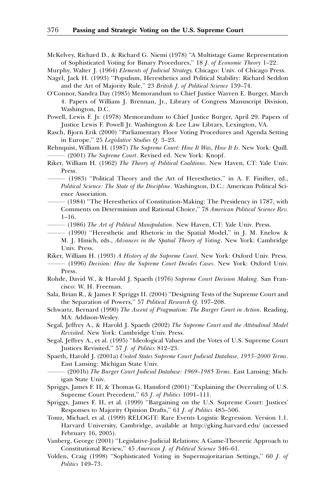- McKelvey, Richard D., & Richard G. Niemi (1978) ''A Multistage Game Representation of Sophisticated Voting for Binary Procedures,'' 18 J. of Economic Theory 1–22.
- Murphy, Walter J. (1964) Elements of Judicial Strategy. Chicago: Univ. of Chicago Press. Nagel, Jack H. (1993) ''Populism, Heresthetics and Political Stability: Richard Seddon and the Art of Majority Rule,'' 23 British J. of Political Science 139–74.
- O'Connor, Sandra Day (1985) Memorandum to Chief Justice Warren E. Burger, March 4. Papers of William J. Brennan, Jr., Library of Congress Manuscript Division, Washington, D.C.
- Powell, Lewis F. Jr. (1978) Memorandum to Chief Justice Burger, April 29. Papers of Justice Lewis F. Powell Jr. Washington & Lee Law Library, Lexington, VA.
- Rasch, Bjorn Erik (2000) ''Parliamentary Floor Voting Procedures and Agenda Setting in Europe,'' 25 Legislative Studies Q. 3–23.

Rehnquist, William H. (1987) The Supreme Court: How It Was, How It Is. New York: Quill. - (2001) The Supreme Court. Revised ed. New York: Knopf.

- Riker, William H. (1962) The Theory of Political Coalitions. New Haven, CT: Yale Univ. Press.
- (1983) "Political Theory and the Art of Heresthetics," in A. F. Finifter, ed., Political Science: The State of the Discipline. Washington, D.C.: American Political Science Association.
- FFF (1984) ''The Heresthetics of Constitution-Making: The Presidency in 1787, with Comments on Determinism and Rational Choice,'' 78 American Political Science Rev. 1–16.
- (1986) The Art of Political Manipulation. New Haven, CT: Yale Univ. Press.
- $-$  (1990) "Heresthetic and Rhetoric in the Spatial Model," in J. M. Enelow & M. J. Hinich, eds., Advances in the Spatial Theory of Voting. New York: Cambridge Univ. Press.
- Riker, William H. (1993) A History of the Supreme Court. New York: Oxford Univ. Press.  $-$  (1996) Decision: How the Supreme Court Decides Cases. New York: Oxford Univ. Press.
- Rohde, David W., & Harold J. Spaeth (1976) Supreme Court Decision Making. San Francisco: W. H. Freeman.
- Sala, Brian R., & James F. Spriggs II. (2004) ''Designing Tests of the Supreme Court and the Separation of Powers,'' 57 Political Research Q. 197–208.
- Schwartz, Bernard (1990) The Ascent of Pragmatism: The Burger Court in Action. Reading, MA: Addison-Wesley.
- Segal, Jeffrey A., & Harold J. Spaeth (2002) The Supreme Court and the Attitudinal Model Revisited. New York: Cambridge Univ. Press.
- Segal, Jeffrey A., et al. (1995) ''Ideological Values and the Votes of U.S. Supreme Court Justices Revisited,'' 57 J. of Politics 812–23.
- Spaeth, Harold J. (2001a) United States Supreme Court Judicial Database, 1953–2000 Terms. East Lansing: Michigan State Univ.
- (2001b) The Burger Court Judicial Database: 1969–1985 Terms. East Lansing: Michigan State Univ.
- Spriggs, James F. II, & Thomas G. Hansford (2001) ''Explaining the Overruling of U.S. Supreme Court Precedent," 63 *J. of Politics* 1091-111.
- Spriggs, James F. II, et al. (1999) ''Bargaining on the U.S. Supreme Court: Justices' Responses to Majority Opinion Drafts,'' 61 J. of Politics 485–506.
- Tomz, Michael, et al. (1999) RELOGIT: Rare Events Logistic Regression. Version 1.1. Harvard University, Cambridge, available at http://gking.harvard.edu/ (accessed February 16, 2005).
- Vanberg, George (2001) ''Legislative-Judicial Relations: A Game-Theoretic Approach to Constitutional Review,'' 45 American J. of Political Science 346–61.
- Volden, Craig (1998) ''Sophisticated Voting in Supermajoritarian Settings,'' 60 J. of Politics 149–73.